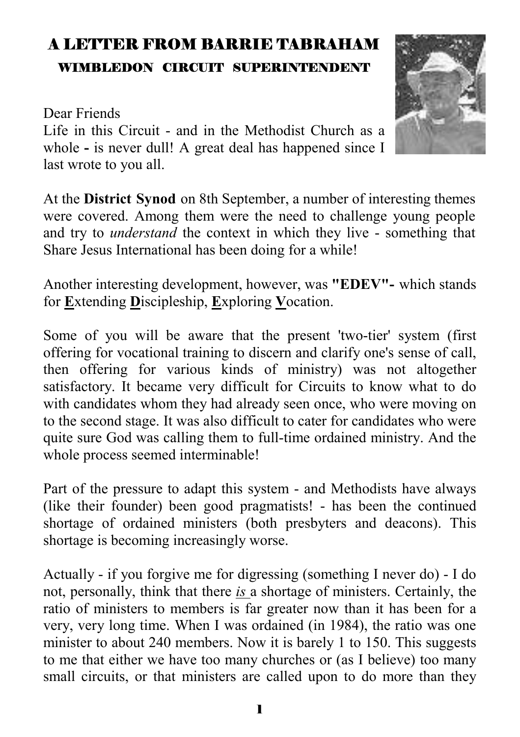# A LETTER FROM BARRIE TABRAHAM WIMBLEDON CIRCUIT SUPERINTENDENT

#### Dear Friends

Life in this Circuit - and in the Methodist Church as a whole **-** is never dull! A great deal has happened since I last wrote to you all.

At the **District Synod** on 8th September, a number of interesting themes were covered. Among them were the need to challenge young people and try to *understand* the context in which they live - something that Share Jesus International has been doing for a while!

Another interesting development, however, was **"EDEV"-** which stands for **E**xtending **D**iscipleship, **E**xploring **V**ocation.

Some of you will be aware that the present 'two-tier' system (first offering for vocational training to discern and clarify one's sense of call, then offering for various kinds of ministry) was not altogether satisfactory. It became very difficult for Circuits to know what to do with candidates whom they had already seen once, who were moving on to the second stage. It was also difficult to cater for candidates who were quite sure God was calling them to full-time ordained ministry. And the whole process seemed interminable!

Part of the pressure to adapt this system - and Methodists have always (like their founder) been good pragmatists! - has been the continued shortage of ordained ministers (both presbyters and deacons). This shortage is becoming increasingly worse.

Actually - if you forgive me for digressing (something I never do) - I do not, personally, think that there *is* a shortage of ministers. Certainly, the ratio of ministers to members is far greater now than it has been for a very, very long time. When I was ordained (in 1984), the ratio was one minister to about 240 members. Now it is barely 1 to 150. This suggests to me that either we have too many churches or (as I believe) too many small circuits, or that ministers are called upon to do more than they

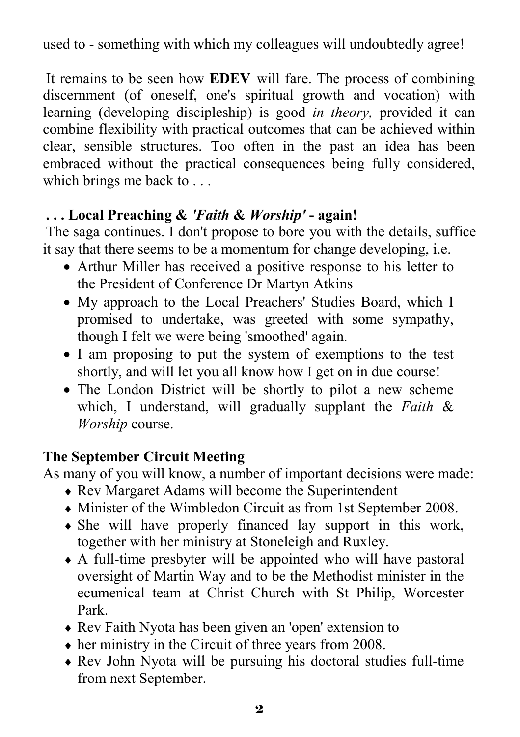used to - something with which my colleagues will undoubtedly agree!

It remains to be seen how **EDEV** will fare. The process of combining discernment (of oneself, one's spiritual growth and vocation) with learning (developing discipleship) is good *in theory,* provided it can combine flexibility with practical outcomes that can be achieved within clear, sensible structures. Too often in the past an idea has been embraced without the practical consequences being fully considered, which brings me back to ...

#### **. . . Local Preaching &** *'Faith* **&** *Worship'* **- again!**

The saga continues. I don't propose to bore you with the details, suffice it say that there seems to be a momentum for change developing, i.e.

- Arthur Miller has received a positive response to his letter to the President of Conference Dr Martyn Atkins
- My approach to the Local Preachers' Studies Board, which I promised to undertake, was greeted with some sympathy, though I felt we were being 'smoothed' again.
- I am proposing to put the system of exemptions to the test shortly, and will let you all know how I get on in due course!
- The London District will be shortly to pilot a new scheme which, I understand, will gradually supplant the *Faith* & *Worship* course.

#### **The September Circuit Meeting**

As many of you will know, a number of important decisions were made:

- ♦ Rev Margaret Adams will become the Superintendent
- ♦ Minister of the Wimbledon Circuit as from 1st September 2008.
- ♦ She will have properly financed lay support in this work, together with her ministry at Stoneleigh and Ruxley.
- ♦ A full-time presbyter will be appointed who will have pastoral oversight of Martin Way and to be the Methodist minister in the ecumenical team at Christ Church with St Philip, Worcester Park.
- ♦ Rev Faith Nyota has been given an 'open' extension to
- $\bullet$  her ministry in the Circuit of three years from 2008.
- ♦ Rev John Nyota will be pursuing his doctoral studies full-time from next September.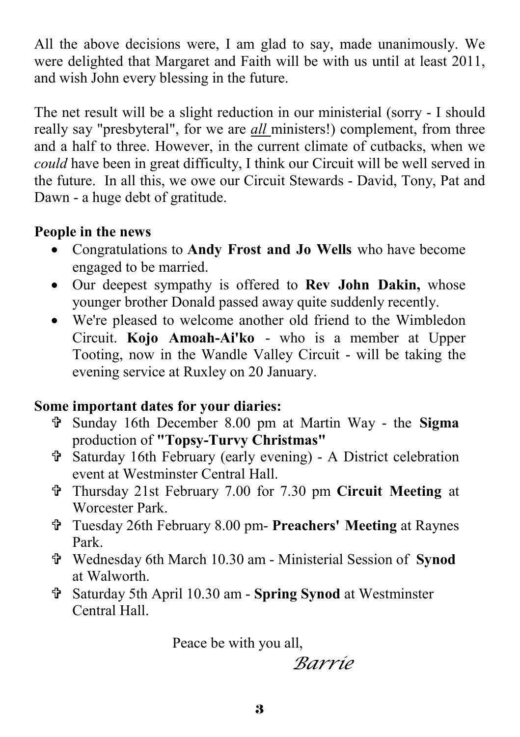All the above decisions were, I am glad to say, made unanimously. We were delighted that Margaret and Faith will be with us until at least 2011, and wish John every blessing in the future.

The net result will be a slight reduction in our ministerial (sorry - I should really say "presbyteral", for we are *all* ministers!) complement, from three and a half to three. However, in the current climate of cutbacks, when we *could* have been in great difficulty, I think our Circuit will be well served in the future. In all this, we owe our Circuit Stewards - David, Tony, Pat and Dawn - a huge debt of gratitude.

#### **People in the news**

- Congratulations to **Andy Frost and Jo Wells** who have become engaged to be married.
- Our deepest sympathy is offered to **Rev John Dakin,** whose younger brother Donald passed away quite suddenly recently.
- We're pleased to welcome another old friend to the Wimbledon Circuit. **Kojo Amoah-Ai'ko** - who is a member at Upper Tooting, now in the Wandle Valley Circuit - will be taking the evening service at Ruxley on 20 January.

#### **Some important dates for your diaries:**

- = Sunday 16th December 8.00 pm at Martin Way the **Sigma**  production of **"Topsy-Turvy Christmas"**
- = Saturday 16th February (early evening) A District celebration event at Westminster Central Hall.
- = Thursday 21st February 7.00 for 7.30 pm **Circuit Meeting** at Worcester Park.
- = Tuesday 26th February 8.00 pm- **Preachers' Meeting** at Raynes Park.
- = Wednesday 6th March 10.30 am Ministerial Session of **Synod**  at Walworth.
- = Saturday 5th April 10.30 am **Spring Synod** at Westminster Central Hall.

Peace be with you all,

*Barrie*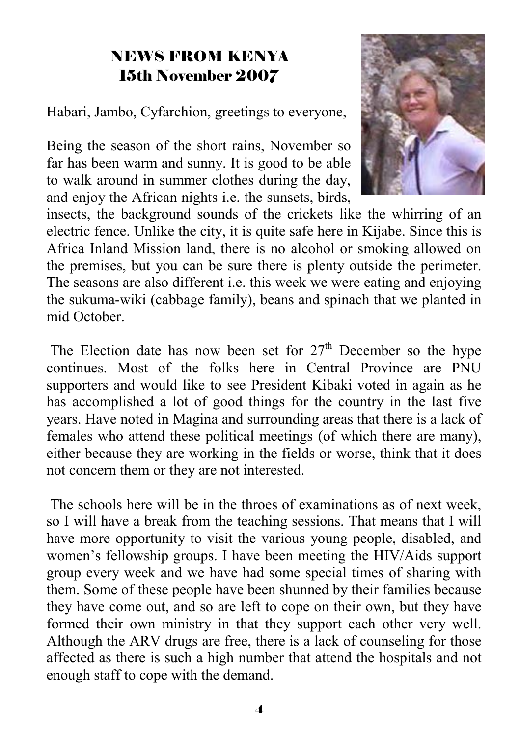### NEWS FROM KENYA 15th November 2007

Habari, Jambo, Cyfarchion, greetings to everyone,

Being the season of the short rains, November so far has been warm and sunny. It is good to be able to walk around in summer clothes during the day, and enjoy the African nights i.e. the sunsets, birds,



insects, the background sounds of the crickets like the whirring of an electric fence. Unlike the city, it is quite safe here in Kijabe. Since this is Africa Inland Mission land, there is no alcohol or smoking allowed on the premises, but you can be sure there is plenty outside the perimeter. The seasons are also different i.e. this week we were eating and enjoying the sukuma-wiki (cabbage family), beans and spinach that we planted in mid October.

The Election date has now been set for  $27<sup>th</sup>$  December so the hype continues. Most of the folks here in Central Province are PNU supporters and would like to see President Kibaki voted in again as he has accomplished a lot of good things for the country in the last five years. Have noted in Magina and surrounding areas that there is a lack of females who attend these political meetings (of which there are many), either because they are working in the fields or worse, think that it does not concern them or they are not interested.

 The schools here will be in the throes of examinations as of next week, so I will have a break from the teaching sessions. That means that I will have more opportunity to visit the various young people, disabled, and women's fellowship groups. I have been meeting the HIV/Aids support group every week and we have had some special times of sharing with them. Some of these people have been shunned by their families because they have come out, and so are left to cope on their own, but they have formed their own ministry in that they support each other very well. Although the ARV drugs are free, there is a lack of counseling for those affected as there is such a high number that attend the hospitals and not enough staff to cope with the demand.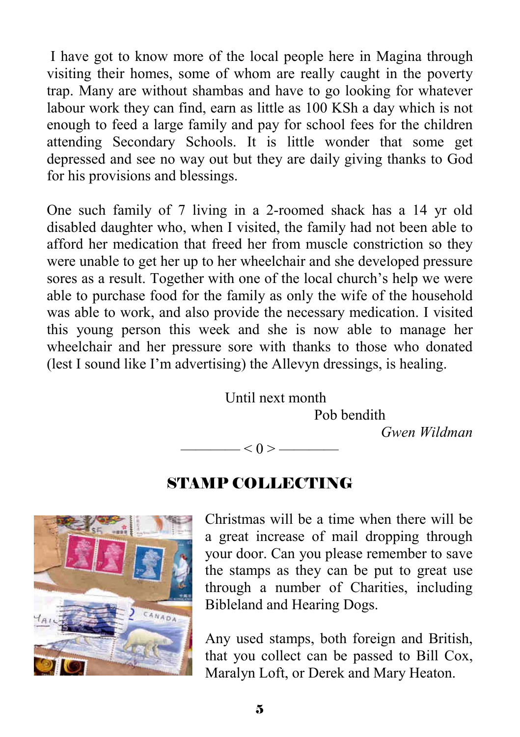I have got to know more of the local people here in Magina through visiting their homes, some of whom are really caught in the poverty trap. Many are without shambas and have to go looking for whatever labour work they can find, earn as little as 100 KSh a day which is not enough to feed a large family and pay for school fees for the children attending Secondary Schools. It is little wonder that some get depressed and see no way out but they are daily giving thanks to God for his provisions and blessings.

One such family of 7 living in a 2-roomed shack has a 14 yr old disabled daughter who, when I visited, the family had not been able to afford her medication that freed her from muscle constriction so they were unable to get her up to her wheelchair and she developed pressure sores as a result. Together with one of the local church's help we were able to purchase food for the family as only the wife of the household was able to work, and also provide the necessary medication. I visited this young person this week and she is now able to manage her wheelchair and her pressure sore with thanks to those who donated (lest I sound like I'm advertising) the Allevyn dressings, is healing.

> Until next month Pob bendith *Gwen Wildman*   $- < 0 > -$

### STAMP COLLECTING



Christmas will be a time when there will be a great increase of mail dropping through your door. Can you please remember to save the stamps as they can be put to great use through a number of Charities, including Bibleland and Hearing Dogs.

Any used stamps, both foreign and British, that you collect can be passed to Bill Cox, Maralyn Loft, or Derek and Mary Heaton.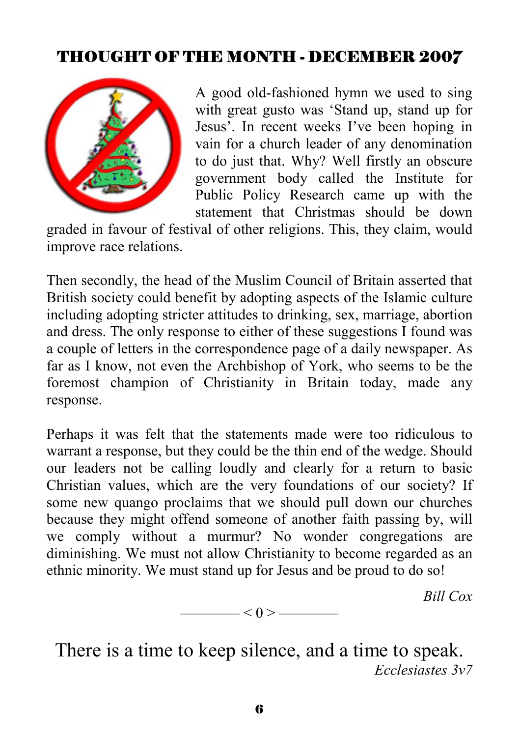## THOUGHT OF THE MONTH - DECEMBER 2007



A good old-fashioned hymn we used to sing with great gusto was 'Stand up, stand up for Jesus'. In recent weeks I've been hoping in vain for a church leader of any denomination to do just that. Why? Well firstly an obscure government body called the Institute for Public Policy Research came up with the statement that Christmas should be down

graded in favour of festival of other religions. This, they claim, would improve race relations.

Then secondly, the head of the Muslim Council of Britain asserted that British society could benefit by adopting aspects of the Islamic culture including adopting stricter attitudes to drinking, sex, marriage, abortion and dress. The only response to either of these suggestions I found was a couple of letters in the correspondence page of a daily newspaper. As far as I know, not even the Archbishop of York, who seems to be the foremost champion of Christianity in Britain today, made any response.

Perhaps it was felt that the statements made were too ridiculous to warrant a response, but they could be the thin end of the wedge. Should our leaders not be calling loudly and clearly for a return to basic Christian values, which are the very foundations of our society? If some new quango proclaims that we should pull down our churches because they might offend someone of another faith passing by, will we comply without a murmur? No wonder congregations are diminishing. We must not allow Christianity to become regarded as an ethnic minority. We must stand up for Jesus and be proud to do so!

*Bill Cox* 



There is a time to keep silence, and a time to speak. *Ecclesiastes 3v7*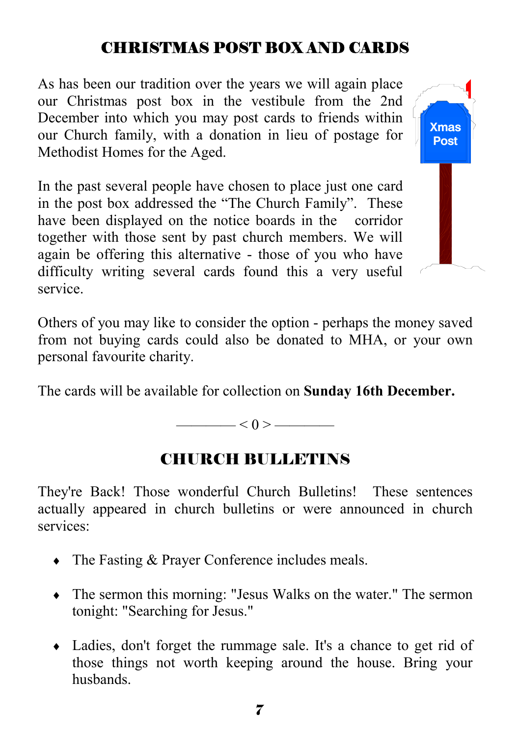## CHRISTMAS POST BOX AND CARDS

As has been our tradition over the years we will again place our Christmas post box in the vestibule from the 2nd December into which you may post cards to friends within our Church family, with a donation in lieu of postage for Methodist Homes for the Aged.

In the past several people have chosen to place just one card in the post box addressed the "The Church Family". These have been displayed on the notice boards in the corridor together with those sent by past church members. We will again be offering this alternative - those of you who have difficulty writing several cards found this a very useful service.



The cards will be available for collection on **Sunday 16th December.** 

 $\leq 0$  >  $\qquad$ 

#### CHURCH BULLETINS

They're Back! Those wonderful Church Bulletins! These sentences actually appeared in church bulletins or were announced in church services:

- The Fasting & Prayer Conference includes meals.
- ♦ The sermon this morning: "Jesus Walks on the water." The sermon tonight: "Searching for Jesus."
- ♦ Ladies, don't forget the rummage sale. It's a chance to get rid of those things not worth keeping around the house. Bring your husbands.

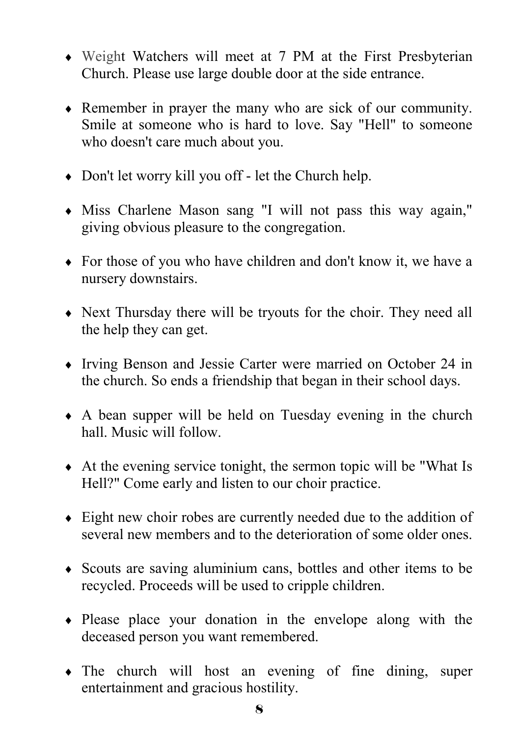- ♦ Weight Watchers will meet at 7 PM at the First Presbyterian Church. Please use large double door at the side entrance.
- ♦ Remember in prayer the many who are sick of our community. Smile at someone who is hard to love. Say "Hell" to someone who doesn't care much about you.
- ♦ Don't let worry kill you off let the Church help.
- ♦ Miss Charlene Mason sang "I will not pass this way again," giving obvious pleasure to the congregation.
- ♦ For those of you who have children and don't know it, we have a nursery downstairs.
- ♦ Next Thursday there will be tryouts for the choir. They need all the help they can get.
- ♦ Irving Benson and Jessie Carter were married on October 24 in the church. So ends a friendship that began in their school days.
- ♦ A bean supper will be held on Tuesday evening in the church hall. Music will follow.
- $\triangle$  At the evening service tonight, the sermon topic will be "What Is Hell?" Come early and listen to our choir practice.
- ♦ Eight new choir robes are currently needed due to the addition of several new members and to the deterioration of some older ones.
- ♦ Scouts are saving aluminium cans, bottles and other items to be recycled. Proceeds will be used to cripple children.
- ♦ Please place your donation in the envelope along with the deceased person you want remembered.
- ♦ The church will host an evening of fine dining, super entertainment and gracious hostility.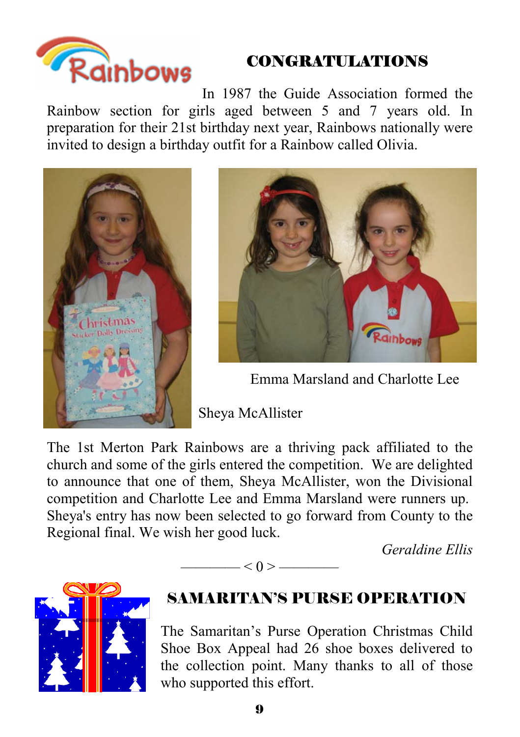

## CONGRATULATIONS

In 1987 the Guide Association formed the Rainbow section for girls aged between 5 and 7 years old. In preparation for their 21st birthday next year, Rainbows nationally were invited to design a birthday outfit for a Rainbow called Olivia.





Emma Marsland and Charlotte Lee

Sheya McAllister

The 1st Merton Park Rainbows are a thriving pack affiliated to the church and some of the girls entered the competition. We are delighted to announce that one of them, Sheya McAllister, won the Divisional competition and Charlotte Lee and Emma Marsland were runners up. Sheya's entry has now been selected to go forward from County to the Regional final. We wish her good luck.

 $\longrightarrow$  < 0 >  $\longrightarrow$ 

*Geraldine Ellis* 



# SAMARITAN'S PURSE OPERATION

The Samaritan's Purse Operation Christmas Child Shoe Box Appeal had 26 shoe boxes delivered to the collection point. Many thanks to all of those who supported this effort.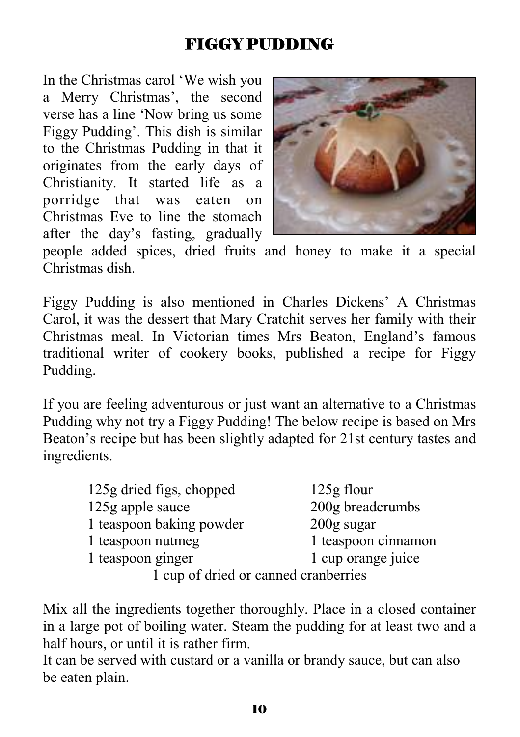## FIGGY PUDDING

In the Christmas carol 'We wish you a Merry Christmas', the second verse has a line 'Now bring us some Figgy Pudding'. This dish is similar to the Christmas Pudding in that it originates from the early days of Christianity. It started life as a porridge that was eaten on Christmas Eve to line the stomach after the day's fasting, gradually



people added spices, dried fruits and honey to make it a special Christmas dish.

Figgy Pudding is also mentioned in Charles Dickens' A Christmas Carol, it was the dessert that Mary Cratchit serves her family with their Christmas meal. In Victorian times Mrs Beaton, England's famous traditional writer of cookery books, published a recipe for Figgy Pudding.

If you are feeling adventurous or just want an alternative to a Christmas Pudding why not try a Figgy Pudding! The below recipe is based on Mrs Beaton's recipe but has been slightly adapted for 21st century tastes and ingredients.

| 125g dried figs, chopped             | 125g flour          |
|--------------------------------------|---------------------|
| 125g apple sauce                     | 200g breadcrumbs    |
| 1 teaspoon baking powder             | $200$ g sugar       |
| 1 teaspoon nutmeg                    | 1 teaspoon cinnamon |
| 1 teaspoon ginger                    | 1 cup orange juice  |
| 1 cup of dried or canned cranberries |                     |

of urieu of canned cranberries

Mix all the ingredients together thoroughly. Place in a closed container in a large pot of boiling water. Steam the pudding for at least two and a half hours, or until it is rather firm.

It can be served with custard or a vanilla or brandy sauce, but can also be eaten plain.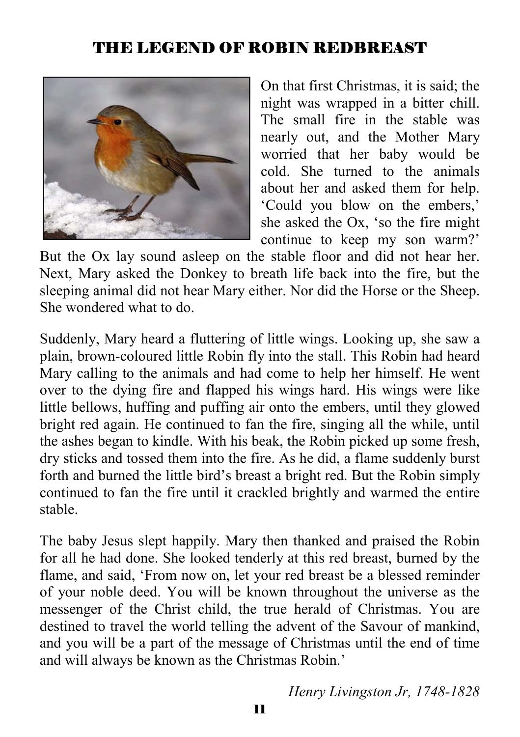#### THE LEGEND OF ROBIN REDBREAST



On that first Christmas, it is said; the night was wrapped in a bitter chill. The small fire in the stable was nearly out, and the Mother Mary worried that her baby would be cold. She turned to the animals about her and asked them for help. 'Could you blow on the embers,' she asked the Ox, 'so the fire might continue to keep my son warm?'

But the Ox lay sound asleep on the stable floor and did not hear her. Next, Mary asked the Donkey to breath life back into the fire, but the sleeping animal did not hear Mary either. Nor did the Horse or the Sheep. She wondered what to do.

Suddenly, Mary heard a fluttering of little wings. Looking up, she saw a plain, brown-coloured little Robin fly into the stall. This Robin had heard Mary calling to the animals and had come to help her himself. He went over to the dying fire and flapped his wings hard. His wings were like little bellows, huffing and puffing air onto the embers, until they glowed bright red again. He continued to fan the fire, singing all the while, until the ashes began to kindle. With his beak, the Robin picked up some fresh, dry sticks and tossed them into the fire. As he did, a flame suddenly burst forth and burned the little bird's breast a bright red. But the Robin simply continued to fan the fire until it crackled brightly and warmed the entire stable.

The baby Jesus slept happily. Mary then thanked and praised the Robin for all he had done. She looked tenderly at this red breast, burned by the flame, and said, 'From now on, let your red breast be a blessed reminder of your noble deed. You will be known throughout the universe as the messenger of the Christ child, the true herald of Christmas. You are destined to travel the world telling the advent of the Savour of mankind, and you will be a part of the message of Christmas until the end of time and will always be known as the Christmas Robin.'

*Henry Livingston Jr, 1748-1828*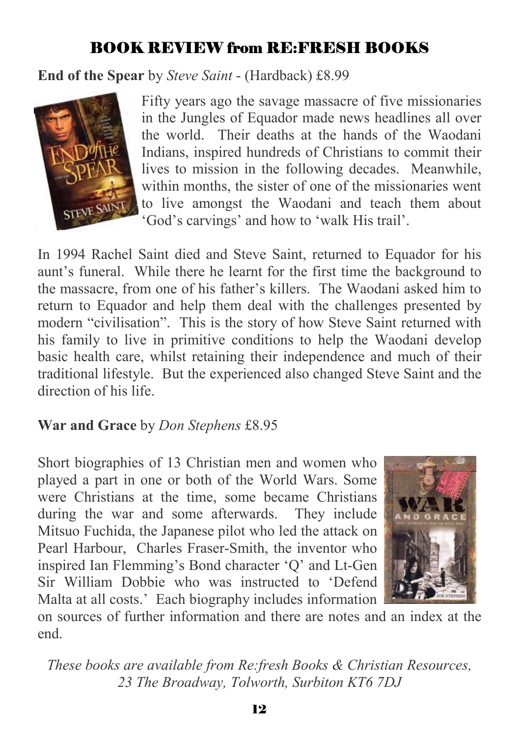### BOOK REVIEW from RE:FRESH BOOKS

**End of the Spear** by *Steve Saint* - (Hardback) £8.99



Fifty years ago the savage massacre of five missionaries in the Jungles of Equador made news headlines all over the world. Their deaths at the hands of the Waodani Indians, inspired hundreds of Christians to commit their lives to mission in the following decades. Meanwhile, within months, the sister of one of the missionaries went to live amongst the Waodani and teach them about 'God's carvings' and how to 'walk His trail'.

In 1994 Rachel Saint died and Steve Saint, returned to Equador for his aunt's funeral. While there he learnt for the first time the background to the massacre, from one of his father's killers. The Waodani asked him to return to Equador and help them deal with the challenges presented by modern "civilisation". This is the story of how Steve Saint returned with his family to live in primitive conditions to help the Waodani develop basic health care, whilst retaining their independence and much of their traditional lifestyle. But the experienced also changed Steve Saint and the direction of his life.

#### **War and Grace** by *Don Stephens* £8.95

Short biographies of 13 Christian men and women who played a part in one or both of the World Wars. Some were Christians at the time, some became Christians during the war and some afterwards. They include Mitsuo Fuchida, the Japanese pilot who led the attack on Pearl Harbour, Charles Fraser-Smith, the inventor who inspired Ian Flemming's Bond character 'Q' and Lt-Gen Sir William Dobbie who was instructed to 'Defend Malta at all costs.' Each biography includes information



on sources of further information and there are notes and an index at the end.

*These books are available from Re:fresh Books & Christian Resources, 23 The Broadway, Tolworth, Surbiton KT6 7DJ*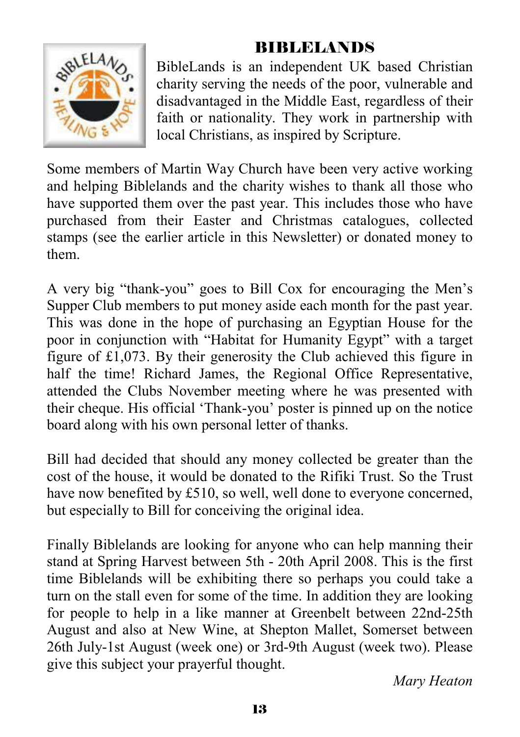### BIBLELANDS



BibleLands is an independent UK based Christian charity serving the needs of the poor, vulnerable and disadvantaged in the Middle East, regardless of their faith or nationality. They work in partnership with local Christians, as inspired by Scripture.

Some members of Martin Way Church have been very active working and helping Biblelands and the charity wishes to thank all those who have supported them over the past year. This includes those who have purchased from their Easter and Christmas catalogues, collected stamps (see the earlier article in this Newsletter) or donated money to them.

A very big "thank-you" goes to Bill Cox for encouraging the Men's Supper Club members to put money aside each month for the past year. This was done in the hope of purchasing an Egyptian House for the poor in conjunction with "Habitat for Humanity Egypt" with a target figure of £1,073. By their generosity the Club achieved this figure in half the time! Richard James, the Regional Office Representative, attended the Clubs November meeting where he was presented with their cheque. His official 'Thank-you' poster is pinned up on the notice board along with his own personal letter of thanks.

Bill had decided that should any money collected be greater than the cost of the house, it would be donated to the Rifiki Trust. So the Trust have now benefited by £510, so well, well done to everyone concerned, but especially to Bill for conceiving the original idea.

Finally Biblelands are looking for anyone who can help manning their stand at Spring Harvest between 5th - 20th April 2008. This is the first time Biblelands will be exhibiting there so perhaps you could take a turn on the stall even for some of the time. In addition they are looking for people to help in a like manner at Greenbelt between 22nd-25th August and also at New Wine, at Shepton Mallet, Somerset between 26th July-1st August (week one) or 3rd-9th August (week two). Please give this subject your prayerful thought.

*Mary Heaton*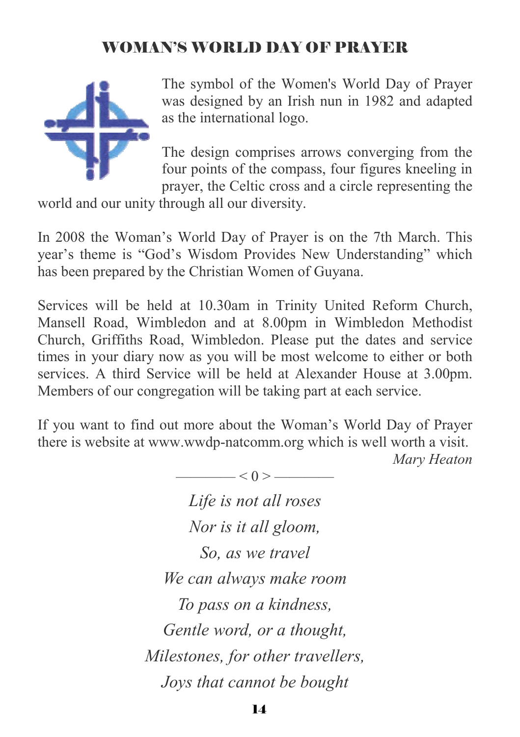### WOMAN'S WORLD DAY OF PRAYER



The symbol of the Women's World Day of Prayer was designed by an Irish nun in 1982 and adapted as the international logo.

The design comprises arrows converging from the four points of the compass, four figures kneeling in prayer, the Celtic cross and a circle representing the

world and our unity through all our diversity.

In 2008 the Woman's World Day of Prayer is on the 7th March. This year's theme is "God's Wisdom Provides New Understanding" which has been prepared by the Christian Women of Guyana.

Services will be held at 10.30am in Trinity United Reform Church, Mansell Road, Wimbledon and at 8.00pm in Wimbledon Methodist Church, Griffiths Road, Wimbledon. Please put the dates and service times in your diary now as you will be most welcome to either or both services. A third Service will be held at Alexander House at 3.00pm. Members of our congregation will be taking part at each service.

If you want to find out more about the Woman's World Day of Prayer there is website at www.wwdp-natcomm.org which is well worth a visit. *Mary Heaton* 

> $< 0 >$  —— *Life is not all roses Nor is it all gloom, So, as we travel We can always make room To pass on a kindness, Gentle word, or a thought, Milestones, for other travellers, Joys that cannot be bought*

> > 14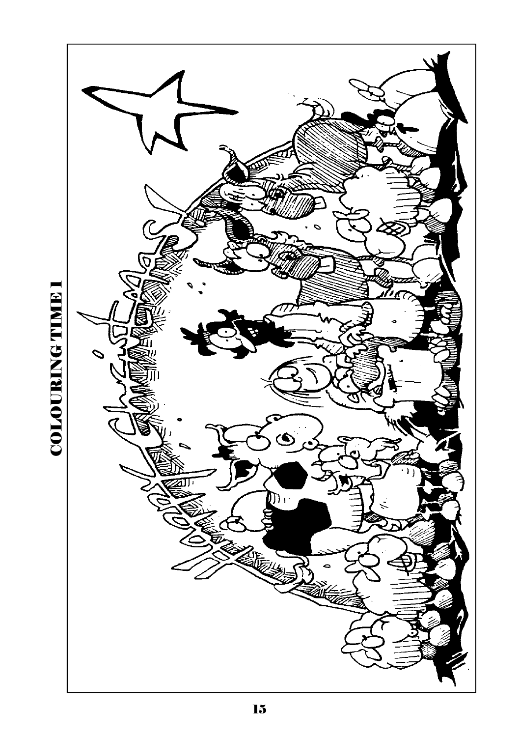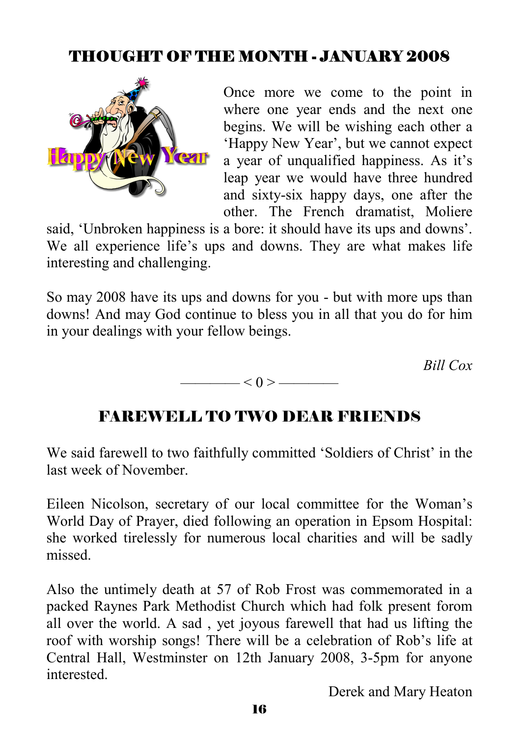# THOUGHT OF THE MONTH - JANUARY 2008



Once more we come to the point in where one year ends and the next one begins. We will be wishing each other a 'Happy New Year', but we cannot expect a year of unqualified happiness. As it's leap year we would have three hundred and sixty-six happy days, one after the other. The French dramatist, Moliere

said, 'Unbroken happiness is a bore: it should have its ups and downs'. We all experience life's ups and downs. They are what makes life interesting and challenging.

So may 2008 have its ups and downs for you - but with more ups than downs! And may God continue to bless you in all that you do for him in your dealings with your fellow beings.

*Bill Cox* 

### FAREWELL TO TWO DEAR FRIENDS

 $< 0 >$ 

We said farewell to two faithfully committed 'Soldiers of Christ' in the last week of November.

Eileen Nicolson, secretary of our local committee for the Woman's World Day of Prayer, died following an operation in Epsom Hospital: she worked tirelessly for numerous local charities and will be sadly missed.

Also the untimely death at 57 of Rob Frost was commemorated in a packed Raynes Park Methodist Church which had folk present forom all over the world. A sad , yet joyous farewell that had us lifting the roof with worship songs! There will be a celebration of Rob's life at Central Hall, Westminster on 12th January 2008, 3-5pm for anyone **interested** 

Derek and Mary Heaton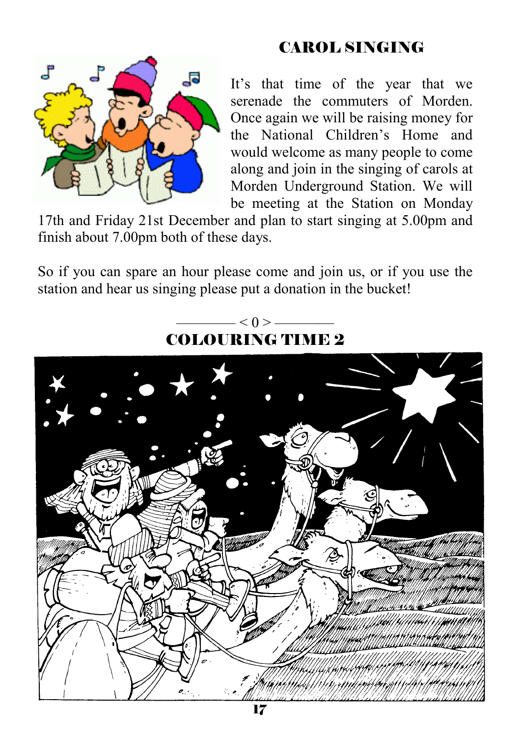### CAROL SINGING



It's that time of the year that we serenade the commuters of Morden. Once again we will be raising money for the National Children's Home and would welcome as many people to come along and join in the singing of carols at Morden Underground Station. We will be meeting at the Station on Monday

17th and Friday 21st December and plan to start singing at 5.00pm and finish about 7.00pm both of these days.

So if you can spare an hour please come and join us, or if you use the station and hear us singing please put a donation in the bucket!

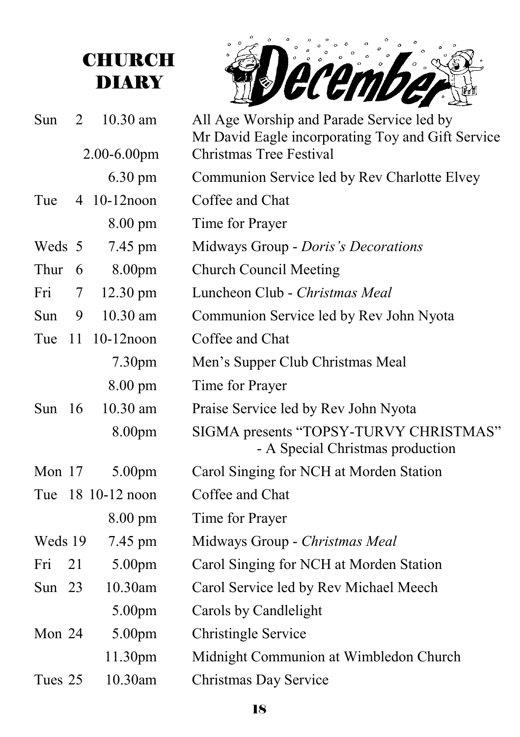# **CHURCH DIARY**

December

| Sun      | 2  | 10.30 am<br>$2.00 - 6.00$ pm | All Age Worship and Parade Service led by<br>Mr David Eagle incorporating Toy and Gift Service<br>Christmas Tree Festival |
|----------|----|------------------------------|---------------------------------------------------------------------------------------------------------------------------|
|          |    | $6.30 \text{ pm}$            | Communion Service led by Rev Charlotte Elvey                                                                              |
| Tue      |    | 4 10-12 noon                 | Coffee and Chat                                                                                                           |
|          |    | $8.00 \text{ pm}$            | Time for Prayer                                                                                                           |
| Weds 5   |    | 7.45 pm                      | Midways Group - Doris's Decorations                                                                                       |
| Thur     | 6  | 8.00pm                       | <b>Church Council Meeting</b>                                                                                             |
| Fri      | 7  | $12.30 \text{ pm}$           | Luncheon Club - Christmas Meal                                                                                            |
| Sun -    | 9  | 10.30 am                     | Communion Service led by Rev John Nyota                                                                                   |
| Tue 11   |    | $10-12$ noon                 | Coffee and Chat                                                                                                           |
|          |    | 7.30 <sub>pm</sub>           | Men's Supper Club Christmas Meal                                                                                          |
|          |    | 8.00 pm                      | Time for Prayer                                                                                                           |
| Sun $16$ |    | 10.30 am                     | Praise Service led by Rev John Nyota                                                                                      |
|          |    | 8.00pm                       | SIGMA presents "TOPSY-TURVY CHRISTMAS"<br>- A Special Christmas production                                                |
| Mon $17$ |    | 5.00 <sub>pm</sub>           | Carol Singing for NCH at Morden Station                                                                                   |
|          |    | Tue 18 10-12 noon            | Coffee and Chat                                                                                                           |
|          |    | $8.00 \text{ pm}$            | Time for Prayer                                                                                                           |
| Weds 19  |    | 7.45 pm                      | Midways Group - Christmas Meal                                                                                            |
| Fri      | 21 | 5.00pm                       | Carol Singing for NCH at Morden Station                                                                                   |
| Sun $23$ |    | 10.30am                      | Carol Service led by Rev Michael Meech                                                                                    |
|          |    | 5.00pm                       | Carols by Candlelight                                                                                                     |
| Mon 24   |    | 5.00pm                       | <b>Christingle Service</b>                                                                                                |
|          |    | 11.30pm                      | Midnight Communion at Wimbledon Church                                                                                    |
| Tues 25  |    | 10.30am                      | Christmas Day Service                                                                                                     |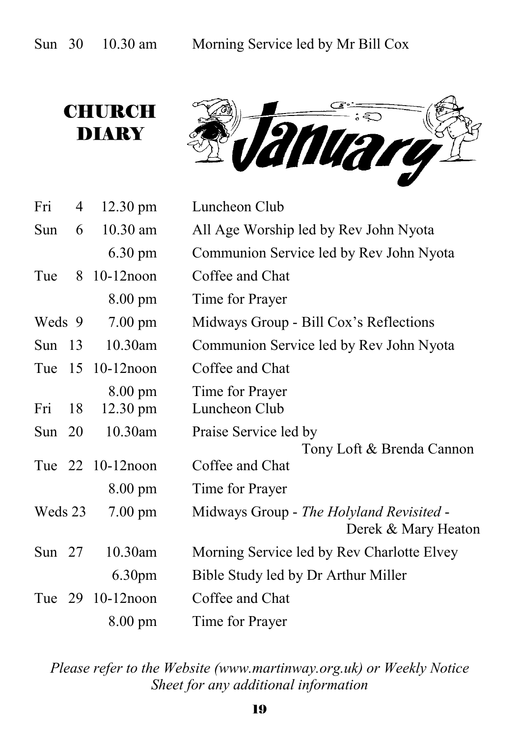# **CHURCH DIARY**

rangan

| Fri      | 4  | $12.30 \text{ pm}$                      | Luncheon Club                                                   |
|----------|----|-----------------------------------------|-----------------------------------------------------------------|
| Sun      | 6  | 10.30 am                                | All Age Worship led by Rev John Nyota                           |
|          |    | $6.30 \text{ pm}$                       | Communion Service led by Rev John Nyota                         |
| Tue      | 8  | $10-12$ noon                            | Coffee and Chat                                                 |
|          |    | $8.00 \text{ pm}$                       | Time for Prayer                                                 |
| Weds 9   |    | $7.00 \text{ pm}$                       | Midways Group - Bill Cox's Reflections                          |
| Sun $13$ |    | 10.30am                                 | Communion Service led by Rev John Nyota                         |
| Tue      |    | 15 10-12 noon                           | Coffee and Chat                                                 |
| Fri      | 18 | $8.00 \text{ pm}$<br>$12.30 \text{ pm}$ | Time for Prayer<br>Luncheon Club                                |
| Sun $20$ |    | 10.30am                                 | Praise Service led by                                           |
|          |    | Tue 22 10-12 noon                       | Tony Loft & Brenda Cannon<br>Coffee and Chat                    |
|          |    | $8.00 \text{ pm}$                       | Time for Prayer                                                 |
| Weds 23  |    | $7.00 \text{ pm}$                       | Midways Group - The Holyland Revisited -<br>Derek & Mary Heaton |
| Sun $27$ |    | 10.30am                                 | Morning Service led by Rev Charlotte Elvey                      |
|          |    | 6.30 <sub>pm</sub>                      | Bible Study led by Dr Arthur Miller                             |
|          |    | Tue 29 10-12 noon                       | Coffee and Chat                                                 |
|          |    | $8.00 \text{ pm}$                       | Time for Prayer                                                 |

*Please refer to the Website (www.martinway.org.uk) or Weekly Notice Sheet for any additional information*